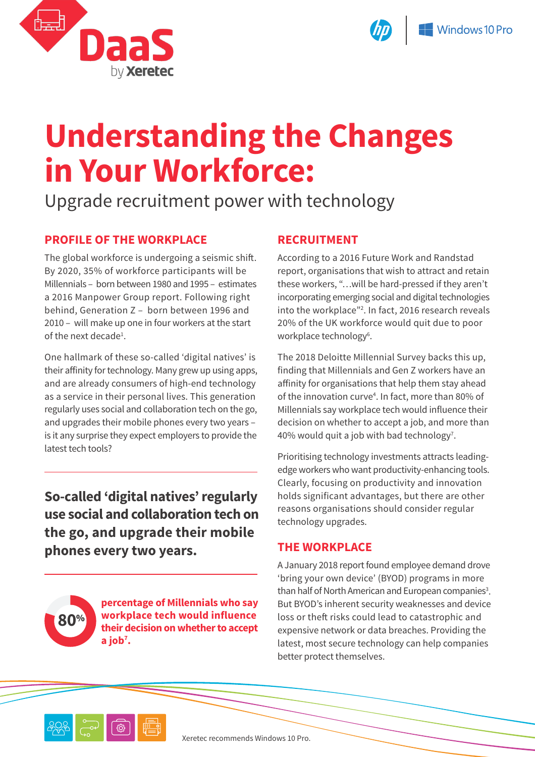



# **Understanding the Changes in Your Workforce:**

## Upgrade recruitment power with technology

### **PROFILE OF THE WORKPLACE**

The global workforce is undergoing a seismic shift. By 2020, 35% of workforce participants will be Millennials – born between 1980 and 1995 – estimates a 2016 Manpower Group report. Following right behind, Generation Z – born between 1996 and 2010 – will make up one in four workers at the start of the next decade<sup>1</sup>.

One hallmark of these so-called 'digital natives' is their affinity for technology. Many grew up using apps, and are already consumers of high-end technology as a service in their personal lives. This generation regularly uses social and collaboration tech on the go, and upgrades their mobile phones every two years – is it any surprise they expect employers to provide the latest tech tools?

**So-called 'digital natives' regularly use social and collaboration tech on the go, and upgrade their mobile phones every two years.**

**80**%

**percentage of Millennials who say workplace tech would influence their decision on whether to accept a job7 .**

#### **RECRUITMENT**

According to a 2016 Future Work and Randstad report, organisations that wish to attract and retain these workers, "…will be hard-pressed if they aren't incorporating emerging social and digital technologies into the workplace"2 . In fact, 2016 research reveals 20% of the UK workforce would quit due to poor workplace technology<sup>6</sup>.

The 2018 Deloitte Millennial Survey backs this up, finding that Millennials and Gen Z workers have an affinity for organisations that help them stay ahead of the innovation curve<sup>4</sup>. In fact, more than 80% of Millennials say workplace tech would influence their decision on whether to accept a job, and more than 40% would quit a job with bad technology<sup>7</sup>.

Prioritising technology investments attracts leadingedge workers who want productivity-enhancing tools. Clearly, focusing on productivity and innovation holds significant advantages, but there are other reasons organisations should consider regular technology upgrades.

#### **THE WORKPLACE**

A January 2018 report found employee demand drove 'bring your own device' (BYOD) programs in more than half of North American and European companies<sup>3</sup>. But BYOD's inherent security weaknesses and device loss or theft risks could lead to catastrophic and expensive network or data breaches. Providing the latest, most secure technology can help companies better protect themselves.